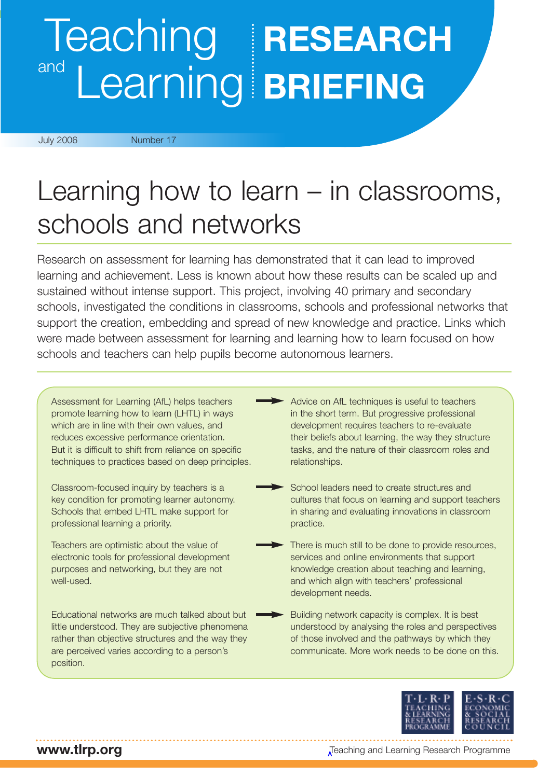# Teaching **RESEARCH** Learning **BRIEFING** and

#### July 2006 Number 17

# Learning how to learn – in classrooms, schools and networks

Research on assessment for learning has demonstrated that it can lead to improved learning and achievement. Less is known about how these results can be scaled up and sustained without intense support. This project, involving 40 primary and secondary schools, investigated the conditions in classrooms, schools and professional networks that support the creation, embedding and spread of new knowledge and practice. Links which were made between assessment for learning and learning how to learn focused on how schools and teachers can help pupils become autonomous learners.

Assessment for Learning (AfL) helps teachers promote learning how to learn (LHTL) in ways which are in line with their own values, and reduces excessive performance orientation. But it is difficult to shift from reliance on specific techniques to practices based on deep principles.

Classroom-focused inquiry by teachers is a key condition for promoting learner autonomy. Schools that embed LHTL make support for professional learning a priority.

Teachers are optimistic about the value of electronic tools for professional development purposes and networking, but they are not well-used.

Educational networks are much talked about but little understood. They are subjective phenomena rather than objective structures and the way they are perceived varies according to a person's position.

- Advice on AfL techniques is useful to teachers in the short term. But progressive professional development requires teachers to re-evaluate their beliefs about learning, the way they structure tasks, and the nature of their classroom roles and relationships.
- School leaders need to create structures and cultures that focus on learning and support teachers in sharing and evaluating innovations in classroom practice.
- There is much still to be done to provide resources, services and online environments that support knowledge creation about teaching and learning, and which align with teachers' professional development needs.
	- Building network capacity is complex. It is best understood by analysing the roles and perspectives of those involved and the pathways by which they communicate. More work needs to be done on this.



Teaching and Learning Research Programme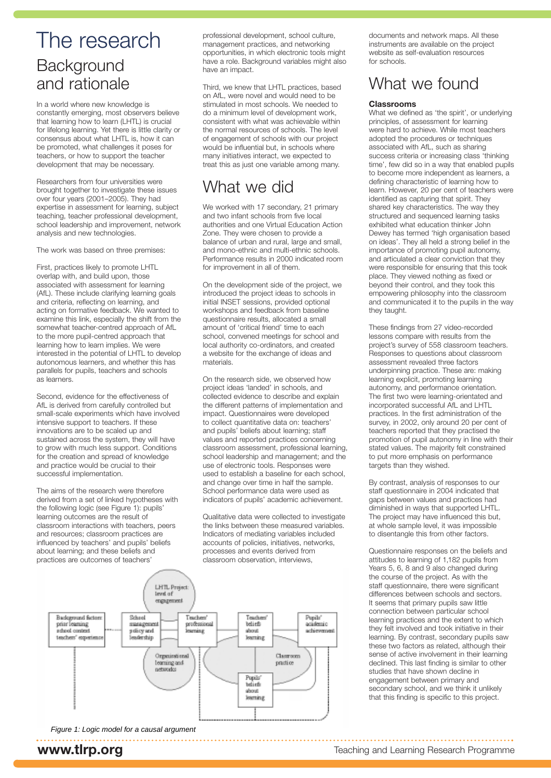# The research **Background** and rationale

In a world where new knowledge is constantly emerging, most observers believe that learning how to learn (LHTL) is crucial for lifelong learning. Yet there is little clarity or consensus about what LHTL is, how it can be promoted, what challenges it poses for teachers, or how to support the teacher development that may be necessary.

Researchers from four universities were brought together to investigate these issues over four years (2001–2005). They had expertise in assessment for learning, subject teaching, teacher professional development, school leadership and improvement, network analysis and new technologies.

The work was based on three premises:

First, practices likely to promote LHTL overlap with, and build upon, those associated with assessment for learning (AfL). These include clarifying learning goals and criteria, reflecting on learning, and acting on formative feedback. We wanted to examine this link, especially the shift from the somewhat teacher-centred approach of AfL to the more pupil-centred approach that learning how to learn implies. We were interested in the potential of LHTL to develop autonomous learners, and whether this has parallels for pupils, teachers and schools as learners.

Second, evidence for the effectiveness of AfL is derived from carefully controlled but small-scale experiments which have involved intensive support to teachers. If these innovations are to be scaled up and sustained across the system, they will have to grow with much less support. Conditions for the creation and spread of knowledge and practice would be crucial to their successful implementation.

The aims of the research were therefore derived from a set of linked hypotheses with the following logic (see Figure 1): pupils' learning outcomes are the result of classroom interactions with teachers, peers and resources; classroom practices are influenced by teachers' and pupils' beliefs about learning; and these beliefs and practices are outcomes of teachers'

professional development, school culture, management practices, and networking opportunities, in which electronic tools might have a role. Background variables might also have an impact.

Third, we knew that LHTL practices, based on AfL, were novel and would need to be stimulated in most schools. We needed to do a minimum level of development work, consistent with what was achievable within the normal resources of schools. The level of engagement of schools with our project would be influential but, in schools where many initiatives interact, we expected to treat this as just one variable among many.

## What we did

We worked with 17 secondary, 21 primary and two infant schools from five local authorities and one Virtual Education Action Zone. They were chosen to provide a balance of urban and rural, large and small, and mono-ethnic and multi-ethnic schools. Performance results in 2000 indicated room for improvement in all of them.

On the development side of the project, we introduced the project ideas to schools in initial INSET sessions, provided optional workshops and feedback from baseline questionnaire results, allocated a small amount of 'critical friend' time to each school, convened meetings for school and local authority co-ordinators, and created a website for the exchange of ideas and materials.

On the research side, we observed how project ideas 'landed' in schools, and collected evidence to describe and explain the different patterns of implementation and impact. Questionnaires were developed to collect quantitative data on: teachers' and pupils' beliefs about learning; staff values and reported practices concerning classroom assessment, professional learning, school leadership and management; and the use of electronic tools. Responses were used to establish a baseline for each school, and change over time in half the sample. School performance data were used as indicators of pupils' academic achievement.

Qualitative data were collected to investigate the links between these measured variables. Indicators of mediating variables included accounts of policies, initiatives, networks, processes and events derived from classroom observation, interviews,



Figure 1: Logic model for a causal argument

documents and network maps. All these instruments are available on the project website as self-evaluation resources for schools.

## What we found

#### **Classrooms**

What we defined as 'the spirit', or underlying principles, of assessment for learning were hard to achieve. While most teachers adopted the procedures or techniques associated with AfL, such as sharing success criteria or increasing class 'thinking time', few did so in a way that enabled pupils to become more independent as learners, a defining characteristic of learning how to learn. However, 20 per cent of teachers were identified as capturing that spirit. They shared key characteristics. The way they structured and sequenced learning tasks exhibited what education thinker John Dewey has termed 'high organisation based on ideas'. They all held a strong belief in the importance of promoting pupil autonomy, and articulated a clear conviction that they were responsible for ensuring that this took place. They viewed nothing as fixed or beyond their control, and they took this empowering philosophy into the classroom and communicated it to the pupils in the way they taught.

These findings from 27 video-recorded lessons compare with results from the project's survey of 558 classroom teachers. Responses to questions about classroom assessment revealed three factors underpinning practice. These are: making learning explicit, promoting learning autonomy, and performance orientation. The first two were learning-orientated and incorporated successful AfL and LHTL practices. In the first administration of the survey, in 2002, only around 20 per cent of teachers reported that they practised the promotion of pupil autonomy in line with their stated values. The majority felt constrained to put more emphasis on performance targets than they wished.

By contrast, analysis of responses to our staff questionnaire in 2004 indicated that gaps between values and practices had diminished in ways that supported LHTL. The project may have influenced this but, at whole sample level, it was impossible to disentangle this from other factors.

Questionnaire responses on the beliefs and attitudes to learning of 1,182 pupils from Years 5, 6, 8 and 9 also changed during the course of the project. As with the staff questionnaire, there were significant differences between schools and sectors. It seems that primary pupils saw little connection between particular school learning practices and the extent to which they felt involved and took initiative in their learning. By contrast, secondary pupils saw these two factors as related, although their sense of active involvement in their learning declined. This last finding is similar to other studies that have shown decline in engagement between primary and secondary school, and we think it unlikely that this finding is specific to this project.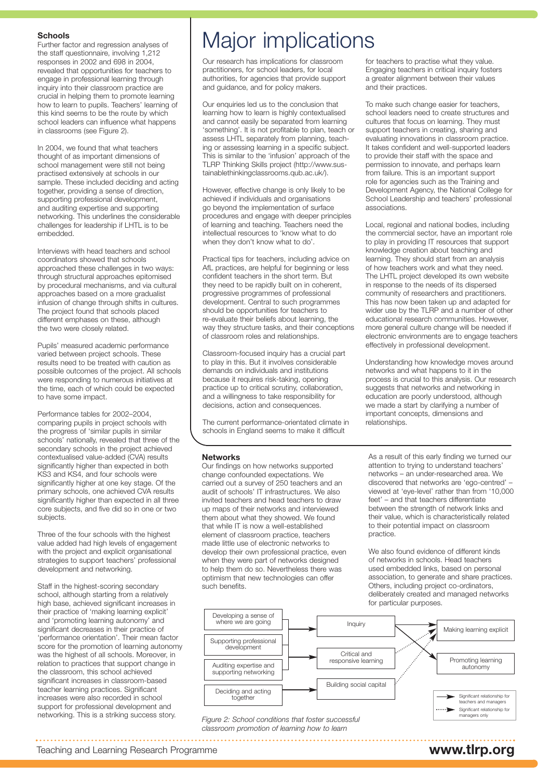#### **Schools**

Further factor and regression analyses of the staff questionnaire, involving 1,212 responses in 2002 and 698 in 2004, revealed that opportunities for teachers to engage in professional learning through inquiry into their classroom practice are crucial in helping them to promote learning how to learn to pupils. Teachers' learning of this kind seems to be the route by which school leaders can influence what happens in classrooms (see Figure 2).

In 2004, we found that what teachers thought of as important dimensions of school management were still not being practised extensively at schools in our sample. These included deciding and acting together, providing a sense of direction, supporting professional development, and auditing expertise and supporting networking. This underlines the considerable challenges for leadership if LHTL is to be embedded.

Interviews with head teachers and school coordinators showed that schools approached these challenges in two ways: through structural approaches epitomised by procedural mechanisms, and via cultural approaches based on a more gradualist infusion of change through shifts in cultures. The project found that schools placed different emphases on these, although the two were closely related.

Pupils' measured academic performance varied between project schools. These results need to be treated with caution as possible outcomes of the project. All schools were responding to numerous initiatives at the time, each of which could be expected to have some impact.

Performance tables for 2002–2004, comparing pupils in project schools with the progress of 'similar pupils in similar schools' nationally, revealed that three of the secondary schools in the project achieved contextualised value-added (CVA) results significantly higher than expected in both KS3 and KS4, and four schools were significantly higher at one key stage. Of the primary schools, one achieved CVA results significantly higher than expected in all three core subjects, and five did so in one or two subjects.

Three of the four schools with the highest value added had high levels of engagement with the project and explicit organisational strategies to support teachers' professional development and networking.

Staff in the highest-scoring secondary school, although starting from a relatively high base, achieved significant increases in their practice of 'making learning explicit' and 'promoting learning autonomy' and significant decreases in their practice of 'performance orientation'. Their mean factor score for the promotion of learning autonomy was the highest of all schools. Moreover, in relation to practices that support change in the classroom, this school achieved significant increases in classroom-based teacher learning practices. Significant increases were also recorded in school support for professional development and networking. This is a striking success story.

# Major implications

Our research has implications for classroom practitioners, for school leaders, for local authorities, for agencies that provide support and guidance, and for policy makers.

Our enquiries led us to the conclusion that learning how to learn is highly contextualised and cannot easily be separated from learning 'something'. It is not profitable to plan, teach or assess LHTL separately from planning, teaching or assessing learning in a specific subject. This is similar to the 'infusion' approach of the TLRP Thinking Skills project (http://www.sustainablethinkingclassrooms.qub.ac.uk/).

However, effective change is only likely to be achieved if individuals and organisations go beyond the implementation of surface procedures and engage with deeper principles of learning and teaching. Teachers need the intellectual resources to 'know what to do when they don't know what to do'.

Practical tips for teachers, including advice on AfL practices, are helpful for beginning or less confident teachers in the short term. But they need to be rapidly built on in coherent, progressive programmes of professional development. Central to such programmes should be opportunities for teachers to re-evaluate their beliefs about learning, the way they structure tasks, and their conceptions of classroom roles and relationships.

Classroom-focused inquiry has a crucial part to play in this. But it involves considerable demands on individuals and institutions because it requires risk-taking, opening practice up to critical scrutiny, collaboration, and a willingness to take responsibility for decisions, action and consequences.

The current performance-orientated climate in schools in England seems to make it difficult

#### **Networks**

Our findings on how networks supported change confounded expectations. We carried out a survey of 250 teachers and an audit of schools' IT infrastructures. We also invited teachers and head teachers to draw up maps of their networks and interviewed them about what they showed. We found that while IT is now a well-established element of classroom practice, teachers made little use of electronic networks to develop their own professional practice, even when they were part of networks designed to help them do so. Nevertheless there was optimism that new technologies can offer such benefits.

Engaging teachers in critical inquiry fosters a greater alignment between their values and their practices.

for teachers to practise what they value.

To make such change easier for teachers, school leaders need to create structures and cultures that focus on learning. They must support teachers in creating, sharing and evaluating innovations in classroom practice. It takes confident and well-supported leaders to provide their staff with the space and permission to innovate, and perhaps learn from failure. This is an important support role for agencies such as the Training and Development Agency, the National College for School Leadership and teachers' professional associations.

Local, regional and national bodies, including the commercial sector, have an important role to play in providing IT resources that support knowledge creation about teaching and learning. They should start from an analysis of how teachers work and what they need. The LHTL project developed its own website in response to the needs of its dispersed community of researchers and practitioners. This has now been taken up and adapted for wider use by the TLRP and a number of other educational research communities. However, more general culture change will be needed if electronic environments are to engage teachers effectively in professional development.

Understanding how knowledge moves around networks and what happens to it in the process is crucial to this analysis. Our research suggests that networks and networking in education are poorly understood, although we made a start by clarifying a number of important concepts, dimensions and relationships.

As a result of this early finding we turned our attention to trying to understand teachers' networks – an under-researched area. We discovered that networks are 'ego-centred' – viewed at 'eye-level' rather than from '10,000 feet' – and that teachers differentiate between the strength of network links and their value, which is characteristically related to their potential impact on classroom practice.

We also found evidence of different kinds of networks in schools. Head teachers used embedded links, based on personal association, to generate and share practices. Others, including project co-ordinators, deliberately created and managed networks for particular purposes.